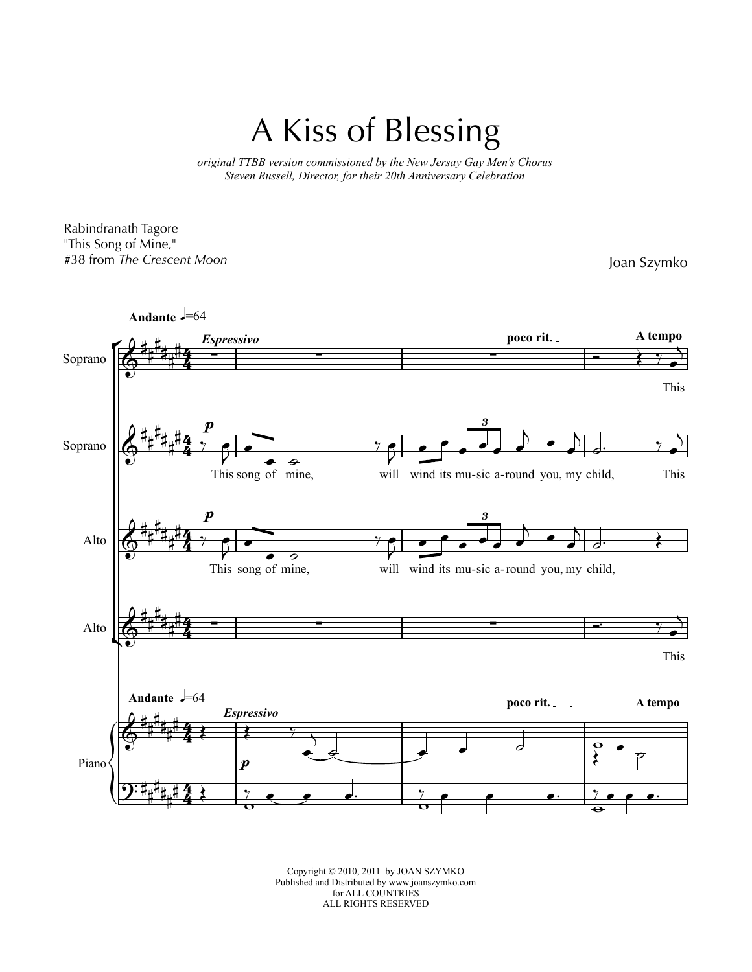## A Kiss of Blessing

*original TTBB version commissioned by the New Jersay Gay Men's Chorus Steven Russell, Director, for their 20th Anniversary Celebration*

Rabindranath Tagore "This Song of Mine," #38 from *The Crescent Moon* Joan Szymko



Copyright © 2010, 2011 by JOAN SZYMKO Published and Distributed by www.joanszymko.com for ALL COUNTRIES ALL RIGHTS RESERVED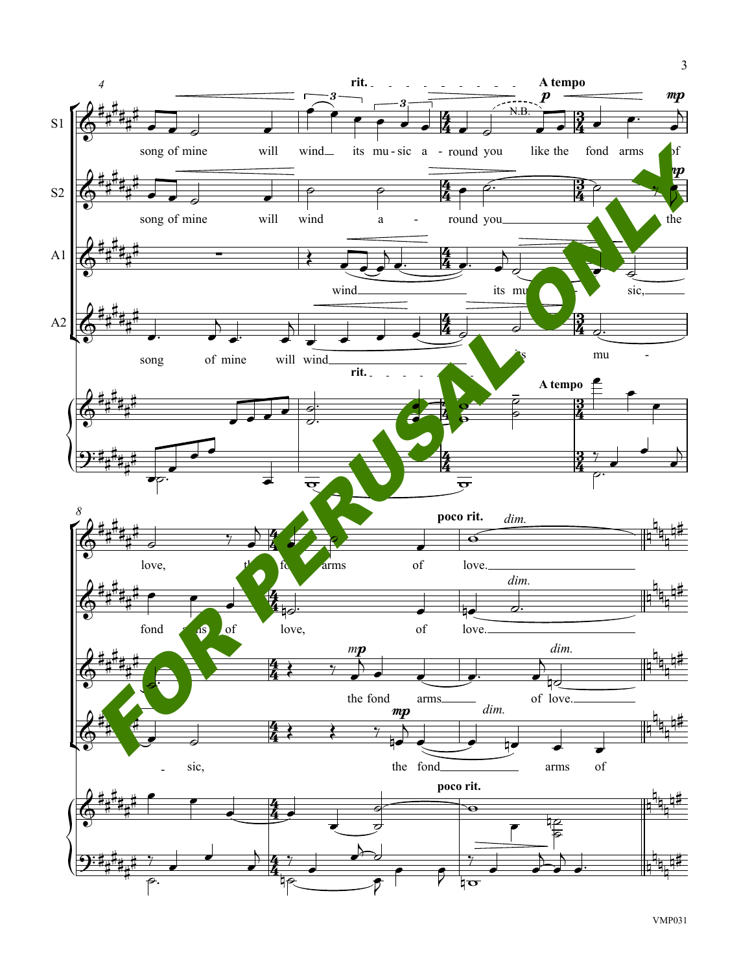

VMP031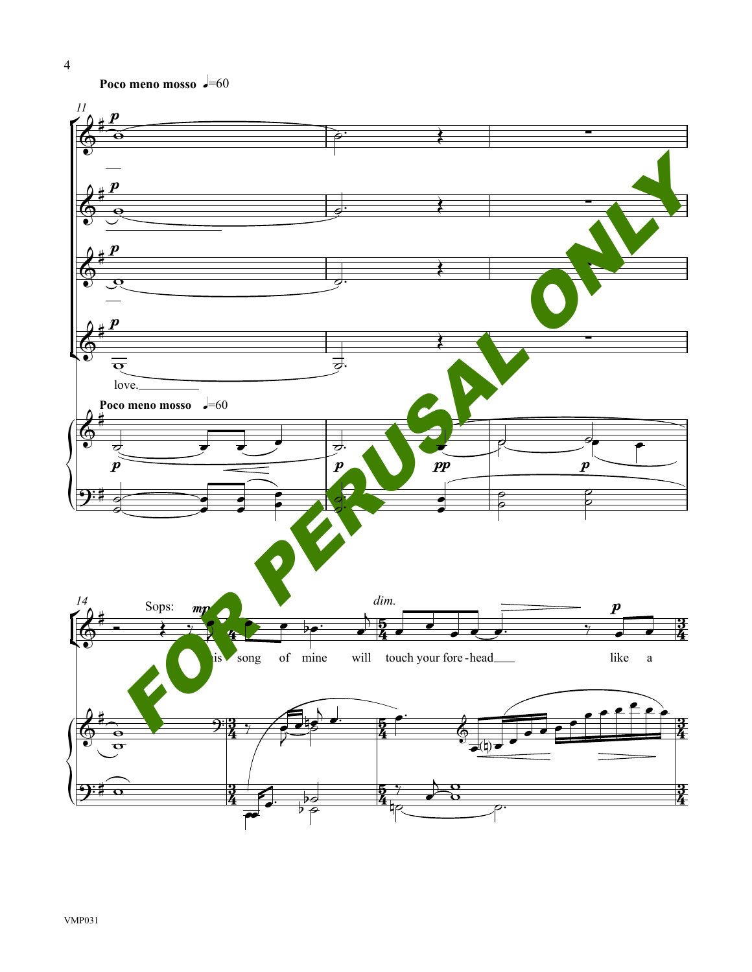**Poco meno mosso**  $=60$ 



4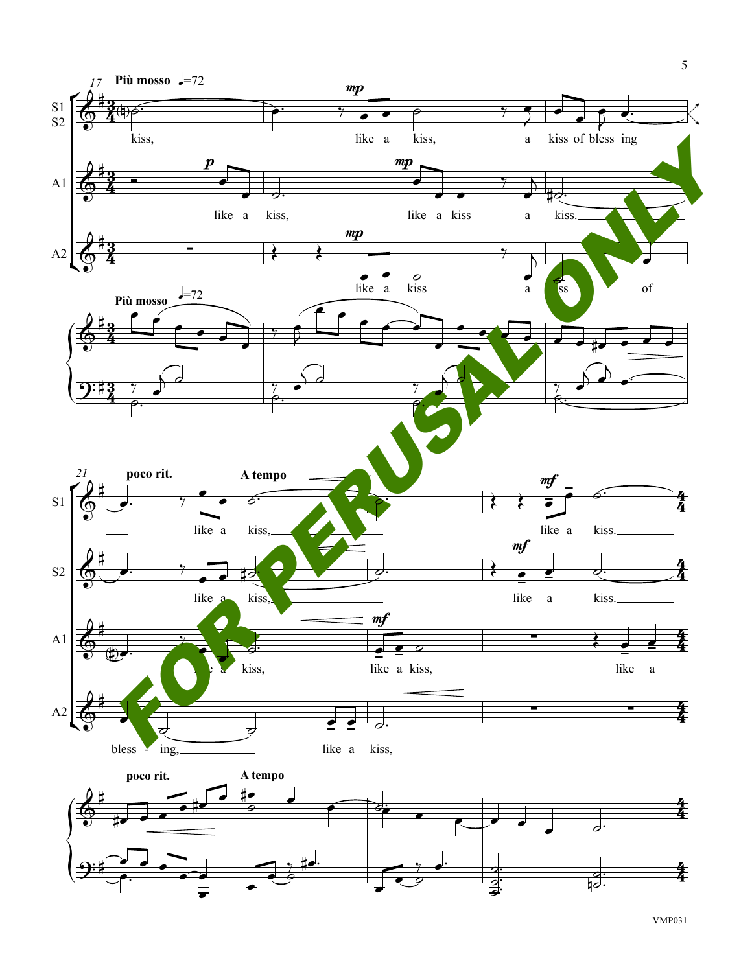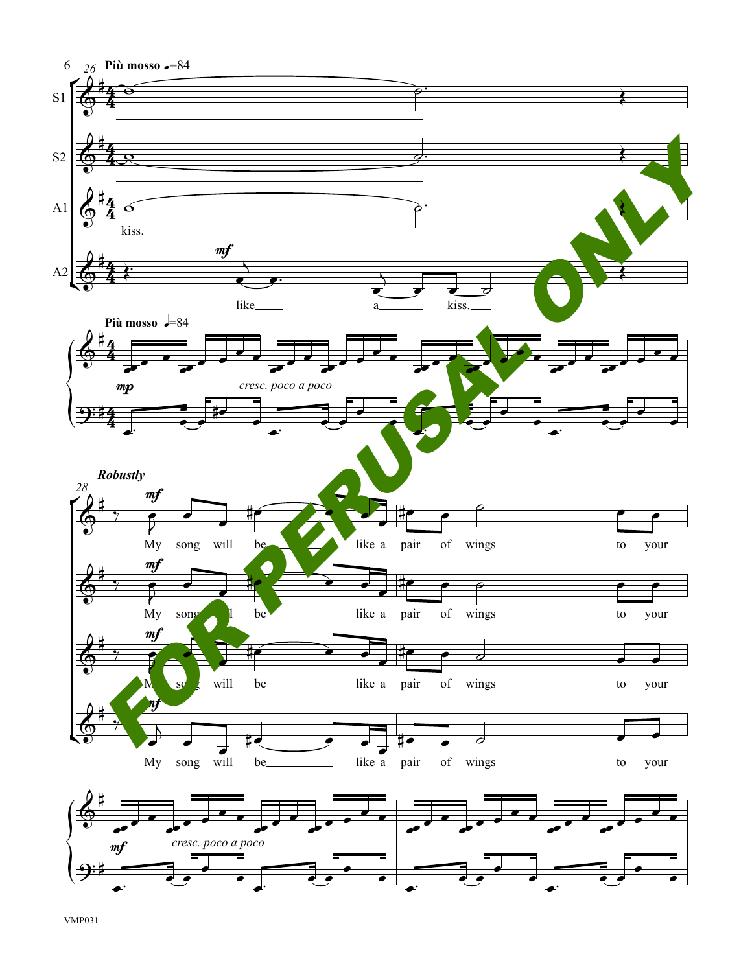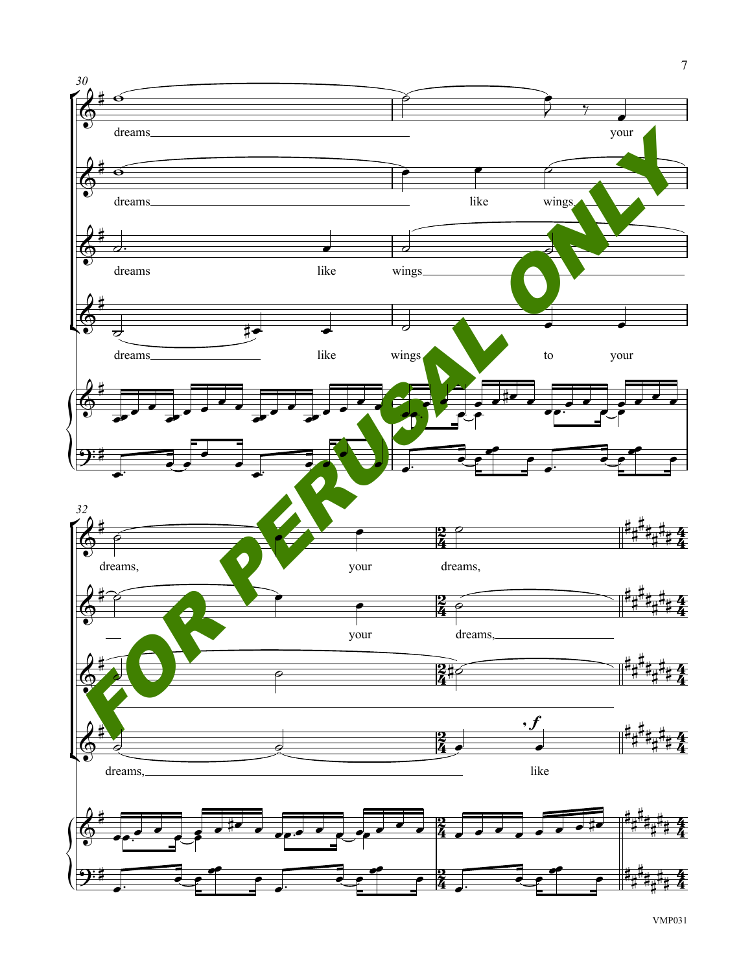

VMP031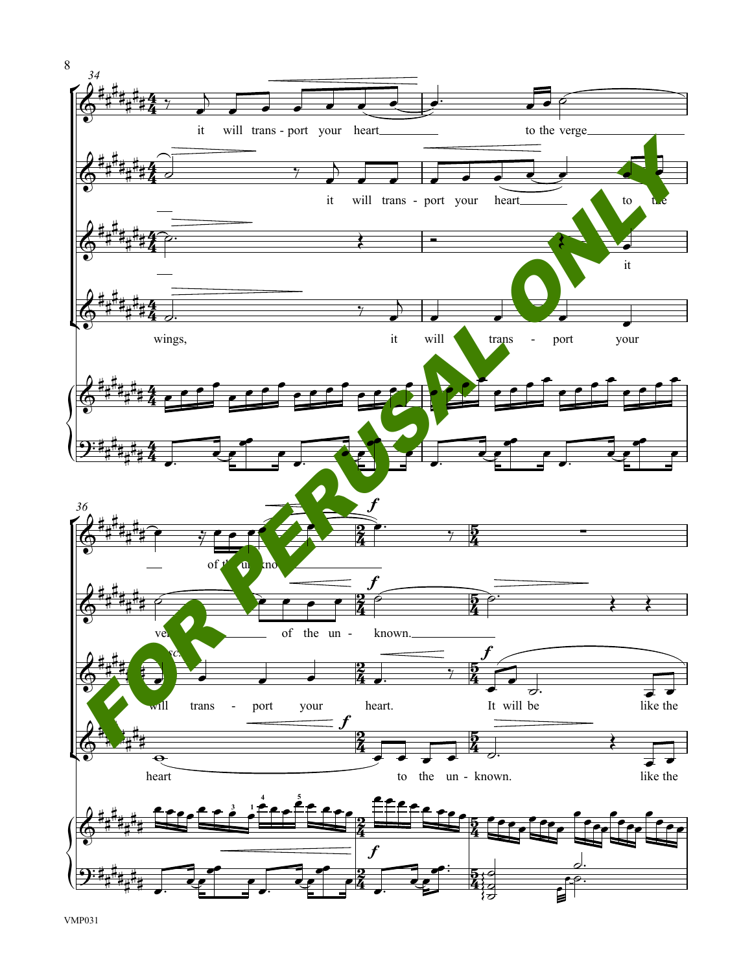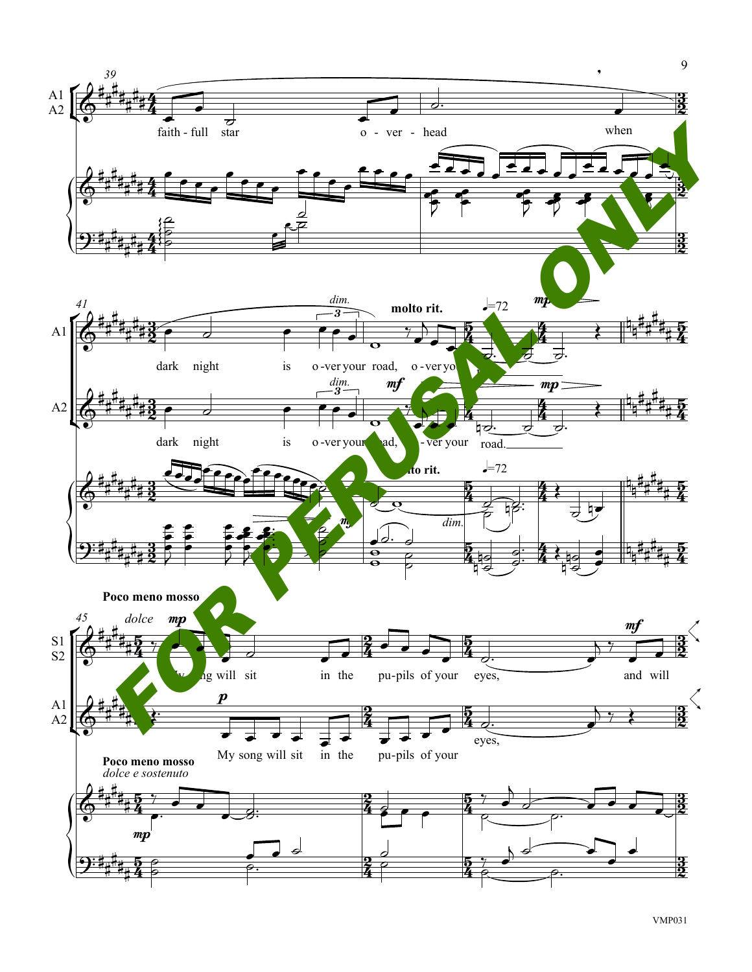

VMP031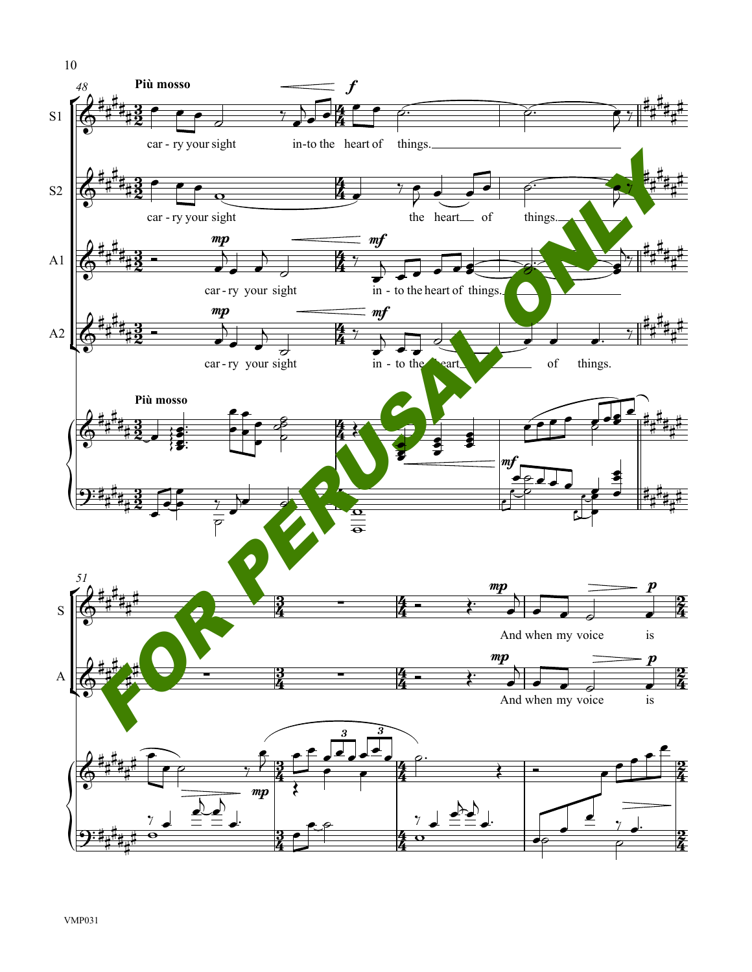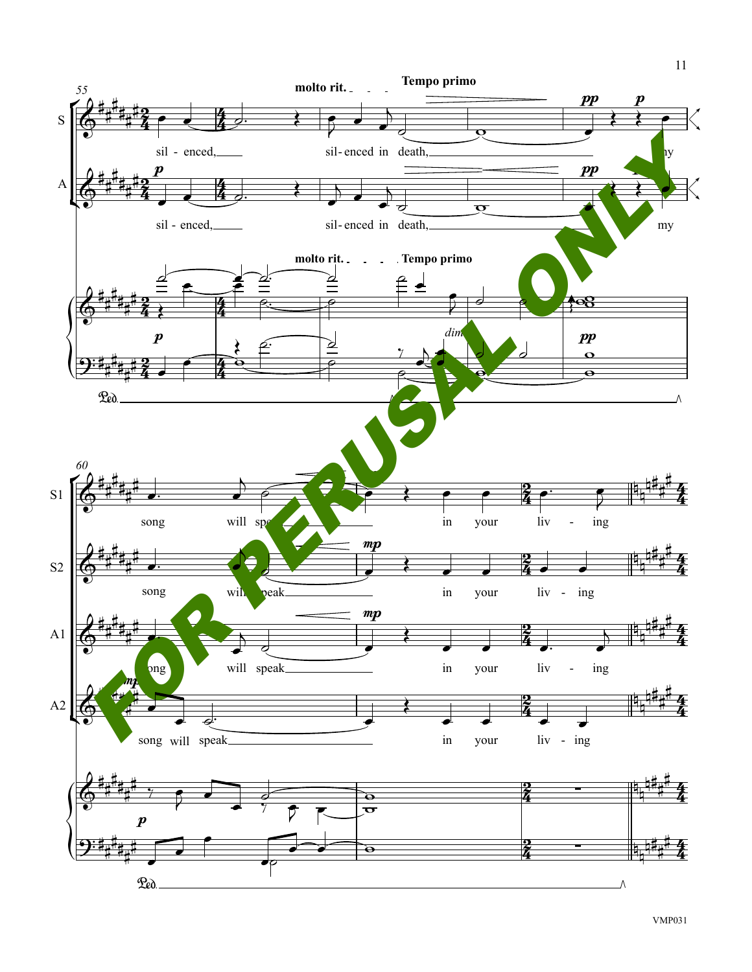